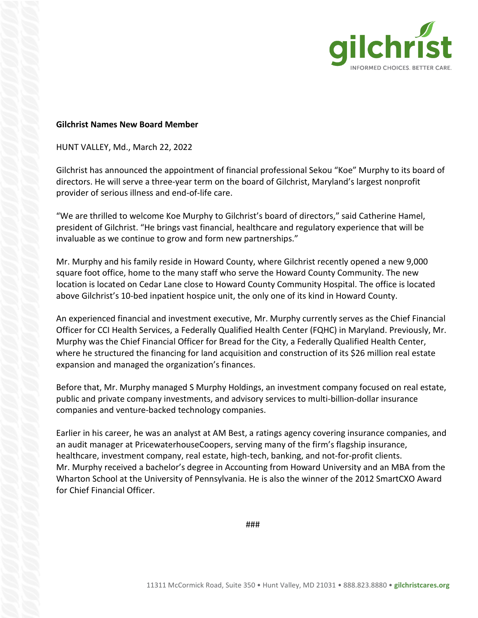

## **Gilchrist Names New Board Member**

HUNT VALLEY, Md., March 22, 2022

Gilchrist has announced the appointment of financial professional Sekou "Koe" Murphy to its board of directors. He will serve a three-year term on the board of Gilchrist, Maryland's largest nonprofit provider of serious illness and end-of-life care.

"We are thrilled to welcome Koe Murphy to Gilchrist's board of directors," said Catherine Hamel, president of Gilchrist. "He brings vast financial, healthcare and regulatory experience that will be invaluable as we continue to grow and form new partnerships."

Mr. Murphy and his family reside in Howard County, where Gilchrist recently opened a new 9,000 square foot office, home to the many staff who serve the Howard County Community. The new location is located on Cedar Lane close to Howard County Community Hospital. The office is located above Gilchrist's 10-bed inpatient hospice unit, the only one of its kind in Howard County.

An experienced financial and investment executive, Mr. Murphy currently serves as the Chief Financial Officer for CCI Health Services, a Federally Qualified Health Center (FQHC) in Maryland. Previously, Mr. Murphy was the Chief Financial Officer for Bread for the City, a Federally Qualified Health Center, where he structured the financing for land acquisition and construction of its \$26 million real estate expansion and managed the organization's finances.

Before that, Mr. Murphy managed S Murphy Holdings, an investment company focused on real estate, public and private company investments, and advisory services to multi-billion-dollar insurance companies and venture-backed technology companies.

Earlier in his career, he was an analyst at AM Best, a ratings agency covering insurance companies, and an audit manager at PricewaterhouseCoopers, serving many of the firm's flagship insurance, healthcare, investment company, real estate, high-tech, banking, and not-for-profit clients. Mr. Murphy received a bachelor's degree in Accounting from Howard University and an MBA from the Wharton School at the University of Pennsylvania. He is also the winner of the 2012 SmartCXO Award for Chief Financial Officer.

###